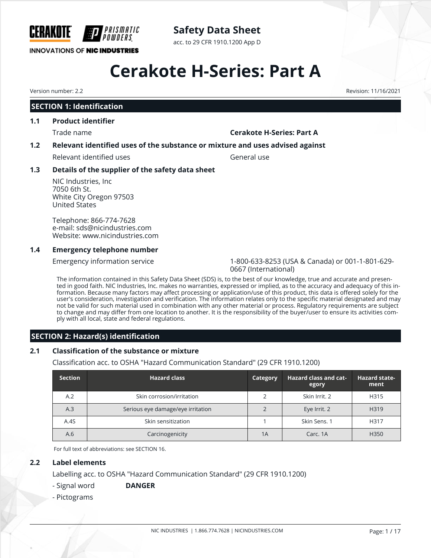

# **Safety Data Sheet**

acc. to 29 CFR 1910.1200 App D

# **Cerakote H-Series: Part A**

# **SECTION 1: Identification**

# **1.1 Product identifier**

#### Trade name **Cerakote H-Series: Part A**

### **1.2 Relevant identified uses of the substance or mixture and uses advised against**

Relevant identified uses General use

### **1.3 Details of the supplier of the safety data sheet**

NIC Industries, Inc 7050 6th St. White City Oregon 97503 United States

Telephone: 866-774-7628 e-mail: sds@nicindustries.com Website: www.nicindustries.com

#### **1.4 Emergency telephone number**

Emergency information service 1-800-633-8253 (USA & Canada) or 001-1-801-629- 0667 (International)

The information contained in this Safety Data Sheet (SDS) is, to the best of our knowledge, true and accurate and presented in good faith. NIC Industries, Inc. makes no warranties, expressed or implied, as to the accuracy and adequacy of this information. Because many factors may affect processing or application/use of this product, this data is offered solely for the user's consideration, investigation and verification. The information relates only to the specific material designated and may not be valid for such material used in combination with any other material or process. Regulatory requirements are subject to change and may differ from one location to another. It is the responsibility of the buyer/user to ensure its activities comply with all local, state and federal regulations.

## **SECTION 2: Hazard(s) identification**

## **2.1 Classification of the substance or mixture**

Classification acc. to OSHA "Hazard Communication Standard" (29 CFR 1910.1200)

| <b>Section</b> | <b>Hazard class</b>               | Category | <b>Hazard class and cat-</b><br>egory | <b>Hazard state-</b><br>ment |
|----------------|-----------------------------------|----------|---------------------------------------|------------------------------|
| A.2            | Skin corrosion/irritation         |          | Skin Irrit, 2                         | H315                         |
| A.3            | Serious eye damage/eye irritation |          | Eye Irrit. 2                          | H319                         |
| A.4S           | Skin sensitization                |          | Skin Sens. 1                          | H317                         |
| A.6            | Carcinogenicity                   | 1A       | Carc, 1A                              | H <sub>350</sub>             |

For full text of abbreviations: see SECTION 16.

#### **2.2 Label elements**

Labelling acc. to OSHA "Hazard Communication Standard" (29 CFR 1910.1200)

## - Signal word **DANGER**

- Pictograms

Version number: 2.2 Revision: 11/16/2021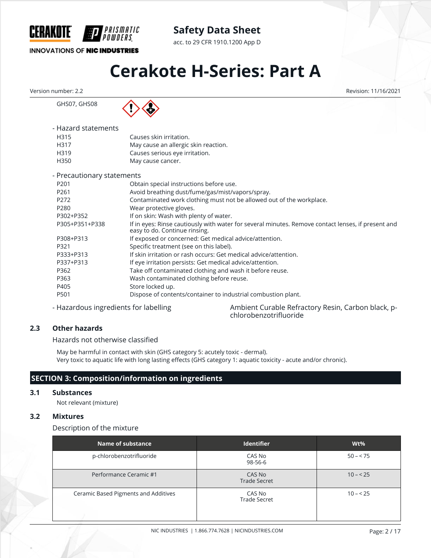

acc. to 29 CFR 1910.1200 App D

### **INNOVATIONS OF NIC INDUSTRIES**

# **Cerakote H-Series: Part A**

Version number: 2.2 Revision: 11/16/2021

GHS07, GHS08



PRISMATIC

| - Hazard statements |                                      |
|---------------------|--------------------------------------|
| H315                | Causes skin irritation.              |
| H317                | May cause an allergic skin reaction. |
| H319                | Causes serious eye irritation.       |
| H350                | May cause cancer.                    |

| - Precautionary statements |                                                                                                                                     |
|----------------------------|-------------------------------------------------------------------------------------------------------------------------------------|
| P <sub>201</sub>           | Obtain special instructions before use.                                                                                             |
| P <sub>261</sub>           | Avoid breathing dust/fume/gas/mist/vapors/spray.                                                                                    |
| P272                       | Contaminated work clothing must not be allowed out of the workplace.                                                                |
| P280                       | Wear protective gloves.                                                                                                             |
| P302+P352                  | If on skin: Wash with plenty of water.                                                                                              |
| P305+P351+P338             | If in eyes: Rinse cautiously with water for several minutes. Remove contact lenses, if present and<br>easy to do. Continue rinsing. |
| P308+P313                  | If exposed or concerned: Get medical advice/attention.                                                                              |
| P321                       | Specific treatment (see on this label).                                                                                             |
| P333+P313                  | If skin irritation or rash occurs: Get medical advice/attention.                                                                    |
| P337+P313                  | If eye irritation persists: Get medical advice/attention.                                                                           |
| P362                       | Take off contaminated clothing and wash it before reuse.                                                                            |
| P363                       | Wash contaminated clothing before reuse.                                                                                            |
| P405                       | Store locked up.                                                                                                                    |
| P501                       | Dispose of contents/container to industrial combustion plant.                                                                       |

- Hazardous ingredients for labelling Ambient Curable Refractory Resin, Carbon black, pchlorobenzotrifluoride

### **2.3 Other hazards**

Hazards not otherwise classified

May be harmful in contact with skin (GHS category 5: acutely toxic - dermal). Very toxic to aquatic life with long lasting effects (GHS category 1: aquatic toxicity - acute and/or chronic).

# **SECTION 3: Composition/information on ingredients**

#### **3.1 Substances**

Not relevant (mixture)

#### **3.2 Mixtures**

Description of the mixture

| Name of substance                    | <b>Identifier</b>             | $Wt\%$    |
|--------------------------------------|-------------------------------|-----------|
| p-chlorobenzotrifluoride             | CAS No<br>98-56-6             | $50 - 75$ |
| Performance Ceramic #1               | CAS No<br><b>Trade Secret</b> | $10 - 25$ |
| Ceramic Based Pigments and Additives | CAS No<br><b>Trade Secret</b> | $10 - 25$ |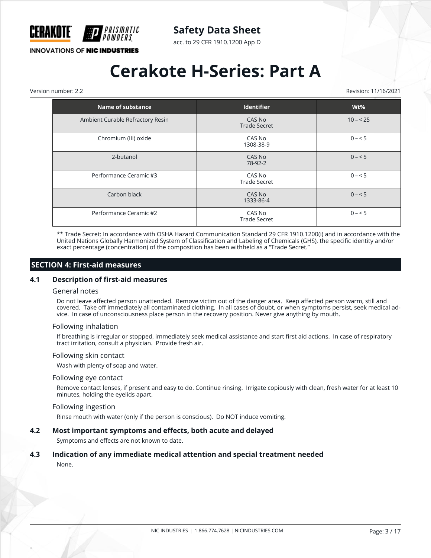

acc. to 29 CFR 1910.1200 App D

# **INNOVATIONS OF NIC INDUSTRIES**

# **Cerakote H-Series: Part A**

Version number: 2.2 Revision: 11/16/2021

| Name of substance                | <b>Identifier</b>             | $Wt\%$    |
|----------------------------------|-------------------------------|-----------|
| Ambient Curable Refractory Resin | CAS No<br><b>Trade Secret</b> | $10 - 25$ |
| Chromium (III) oxide             | CAS No<br>1308-38-9           | $0 - 5$   |
| 2-butanol                        | CAS No<br>78-92-2             | $0 - 5$   |
| Performance Ceramic #3           | CAS No<br><b>Trade Secret</b> | $0 - 5$   |
| Carbon black                     | CAS No<br>1333-86-4           | $0 - 5$   |
| Performance Ceramic #2           | CAS No<br><b>Trade Secret</b> | $0 - 5$   |

\*\* Trade Secret: In accordance with OSHA Hazard Communication Standard 29 CFR 1910.1200(i) and in accordance with the United Nations Globally Harmonized System of Classification and Labeling of Chemicals (GHS), the specific identity and/or exact percentage (concentration) of the composition has been withheld as a "Trade Secret."

### **SECTION 4: First-aid measures**

#### **4.1 Description of first-aid measures**

#### General notes

Do not leave affected person unattended. Remove victim out of the danger area. Keep affected person warm, still and covered. Take off immediately all contaminated clothing. In all cases of doubt, or when symptoms persist, seek medical advice. In case of unconsciousness place person in the recovery position. Never give anything by mouth.

#### Following inhalation

If breathing is irregular or stopped, immediately seek medical assistance and start first aid actions. In case of respiratory tract irritation, consult a physician. Provide fresh air.

#### Following skin contact

Wash with plenty of soap and water.

#### Following eye contact

Remove contact lenses, if present and easy to do. Continue rinsing. Irrigate copiously with clean, fresh water for at least 10 minutes, holding the eyelids apart.

#### Following ingestion

Rinse mouth with water (only if the person is conscious). Do NOT induce vomiting.

#### **4.2 Most important symptoms and effects, both acute and delayed**

Symptoms and effects are not known to date.

#### **4.3 Indication of any immediate medical attention and special treatment needed**

None.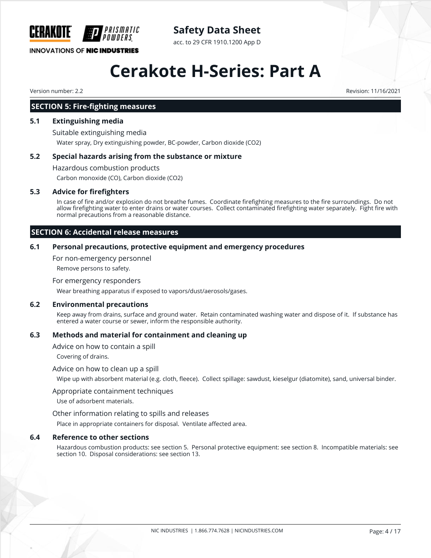

# **Safety Data Sheet**

acc. to 29 CFR 1910.1200 App D

# **Cerakote H-Series: Part A**

Version number: 2.2 Revision: 11/16/2021

# **SECTION 5: Fire-fighting measures**

## **5.1 Extinguishing media**

Suitable extinguishing media Water spray, Dry extinguishing powder, BC-powder, Carbon dioxide (CO2)

# **5.2 Special hazards arising from the substance or mixture**

Hazardous combustion products Carbon monoxide (CO), Carbon dioxide (CO2)

# **5.3 Advice for firefighters**

In case of fire and/or explosion do not breathe fumes. Coordinate firefighting measures to the fire surroundings. Do not allow firefighting water to enter drains or water courses. Collect contaminated firefighting water separately. Fight fire with normal precautions from a reasonable distance.

# **SECTION 6: Accidental release measures**

# **6.1 Personal precautions, protective equipment and emergency procedures**

For non-emergency personnel

Remove persons to safety.

### For emergency responders

Wear breathing apparatus if exposed to vapors/dust/aerosols/gases.

## **6.2 Environmental precautions**

Keep away from drains, surface and ground water. Retain contaminated washing water and dispose of it. If substance has entered a water course or sewer, inform the responsible authority.

# **6.3 Methods and material for containment and cleaning up**

Advice on how to contain a spill

Covering of drains.

## Advice on how to clean up a spill

Wipe up with absorbent material (e.g. cloth, fleece). Collect spillage: sawdust, kieselgur (diatomite), sand, universal binder.

## Appropriate containment techniques

Use of adsorbent materials.

## Other information relating to spills and releases

Place in appropriate containers for disposal. Ventilate affected area.

## **6.4 Reference to other sections**

Hazardous combustion products: see section 5. Personal protective equipment: see section 8. Incompatible materials: see section 10. Disposal considerations: see section 13.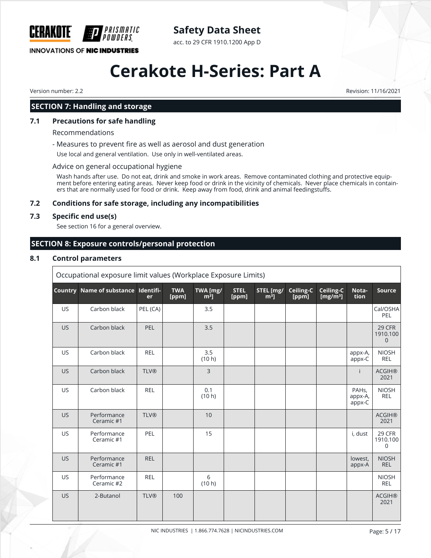

# **Safety Data Sheet**

acc. to 29 CFR 1910.1200 App D

# **Cerakote H-Series: Part A**

Version number: 2.2 Revision: 11/16/2021

## **SECTION 7: Handling and storage**

#### **7.1 Precautions for safe handling**

Recommendations

- Measures to prevent fire as well as aerosol and dust generation

Use local and general ventilation. Use only in well-ventilated areas.

#### Advice on general occupational hygiene

Wash hands after use. Do not eat, drink and smoke in work areas. Remove contaminated clothing and protective equipment before entering eating areas. Never keep food or drink in the vicinity of chemicals. Never place chemicals in containers that are normally used for food or drink. Keep away from food, drink and animal feedingstuffs.

#### **7.2 Conditions for safe storage, including any incompatibilities**

#### **7.3 Specific end use(s)**

See section 16 for a general overview.

#### **SECTION 8: Exposure controls/personal protection**

#### **8.1 Control parameters**

|           | Occupational exposure limit values (Workplace Exposure Limits) |                 |                     |                    |                      |                     |                    |                          |                                         |                                   |
|-----------|----------------------------------------------------------------|-----------------|---------------------|--------------------|----------------------|---------------------|--------------------|--------------------------|-----------------------------------------|-----------------------------------|
| Country   | Name of substance                                              | Identifi-<br>er | <b>TWA</b><br>[ppm] | TWA [mg/<br>$m3$ ] | <b>STEL</b><br>[ppm] | STEL [mg/<br>$m3$ ] | Ceiling-C<br>[ppm] | Ceiling-C<br>[ $mg/m3$ ] | Nota-<br>tion                           | <b>Source</b>                     |
| <b>US</b> | Carbon black                                                   | PEL (CA)        |                     | 3.5                |                      |                     |                    |                          |                                         | Cal/OSHA<br>PEL                   |
| <b>US</b> | Carbon black                                                   | PEL             |                     | 3.5                |                      |                     |                    |                          |                                         | 29 CFR<br>1910.100<br>$\mathbf 0$ |
| US        | Carbon black                                                   | <b>REL</b>      |                     | 3.5<br>(10 h)      |                      |                     |                    |                          | appx-A,<br>appx-C                       | <b>NIOSH</b><br><b>REL</b>        |
| <b>US</b> | Carbon black                                                   | <b>TLV®</b>     |                     | $\overline{3}$     |                      |                     |                    |                          | Ť                                       | <b>ACGIH®</b><br>2021             |
| US        | Carbon black                                                   | <b>REL</b>      |                     | 0.1<br>(10 h)      |                      |                     |                    |                          | PAH <sub>s</sub> ,<br>appx-A,<br>appx-C | <b>NIOSH</b><br><b>REL</b>        |
| <b>US</b> | Performance<br>Ceramic #1                                      | <b>TLV®</b>     |                     | 10                 |                      |                     |                    |                          |                                         | <b>ACGIH®</b><br>2021             |
| US        | Performance<br>Ceramic #1                                      | PEL             |                     | 15                 |                      |                     |                    |                          | i, dust                                 | 29 CFR<br>1910.100<br>0           |
| <b>US</b> | Performance<br>Ceramic #1                                      | <b>REL</b>      |                     |                    |                      |                     |                    |                          | lowest,<br>appx-A                       | <b>NIOSH</b><br><b>REL</b>        |
| <b>US</b> | Performance<br>Ceramic #2                                      | <b>REL</b>      |                     | 6<br>(10 h)        |                      |                     |                    |                          |                                         | <b>NIOSH</b><br><b>REL</b>        |
| <b>US</b> | 2-Butanol                                                      | <b>TLV®</b>     | 100                 |                    |                      |                     |                    |                          |                                         | <b>ACGIH®</b><br>2021             |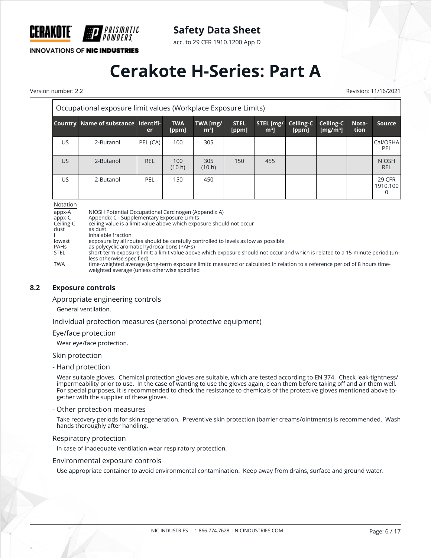

acc. to 29 CFR 1910.1200 App D

**INNOVATIONS OF NIC INDUSTRIES** 

IPRISMATIC

# **Cerakote H-Series: Part A**

Version number: 2.2 Revision: 11/16/2021

| Occupational exposure limit values (Workplace Exposure Limits) |                                     |            |                     |                            |                      |                             |                    |                                   |               |                                |
|----------------------------------------------------------------|-------------------------------------|------------|---------------------|----------------------------|----------------------|-----------------------------|--------------------|-----------------------------------|---------------|--------------------------------|
|                                                                | Country Name of substance Identifi- | er         | <b>TWA</b><br>[ppm] | TWA [mg/<br>m <sup>3</sup> | <b>STEL</b><br>[ppm] | STEL [mg/<br>m <sup>3</sup> | Ceiling-C<br>[ppm] | Ceiling-C<br>[mg/m <sup>3</sup> ] | Nota-<br>tion | Source                         |
| US                                                             | 2-Butanol                           | PEL (CA)   | 100                 | 305                        |                      |                             |                    |                                   |               | Cal/OSHA<br>PEL                |
| <b>US</b>                                                      | 2-Butanol                           | <b>REL</b> | 100<br>(10 h)       | 305<br>(10 h)              | 150                  | 455                         |                    |                                   |               | <b>NIOSH</b><br><b>REL</b>     |
| US                                                             | 2-Butanol                           | PEL        | 150                 | 450                        |                      |                             |                    |                                   |               | <b>29 CFR</b><br>1910.100<br>0 |

Notation

appx-A NIOSH Potential Occupational Carcinogen (Appendix A)<br>appx-C Appendix C - Supplementary Exposure Limits

appx-C Appendix C - Supplementary Exposure Limits<br>Ceiling-C ceiling value is a limit value above which expo ceiling value is a limit value above which exposure should not occur

dust as dust

i inhalable fraction<br>lowest exposure by all ro lowest exposure by all routes should be carefully controlled to levels as low as possible<br>
PAHs as polycyclic aromatic hydrocarbons (PAHs)

PAHs as polycyclic aromatic hydrocarbons (PAHs)

short-term exposure limit: a limit value above which exposure should not occur and which is related to a 15-minute period (unless otherwise specified)

TWA time-weighted average (long-term exposure limit): measured or calculated in relation to a reference period of 8 hours timeweighted average (unless otherwise specified

#### **8.2 Exposure controls**

Appropriate engineering controls

General ventilation.

Individual protection measures (personal protective equipment)

#### Eye/face protection

Wear eye/face protection.

#### Skin protection

- Hand protection

Wear suitable gloves. Chemical protection gloves are suitable, which are tested according to EN 374. Check leak-tightness/ impermeability prior to use. In the case of wanting to use the gloves again, clean them before taking off and air them well. For special purposes, it is recommended to check the resistance to chemicals of the protective gloves mentioned above together with the supplier of these gloves.

#### - Other protection measures

Take recovery periods for skin regeneration. Preventive skin protection (barrier creams/ointments) is recommended. Wash hands thoroughly after handling.

#### Respiratory protection

In case of inadequate ventilation wear respiratory protection.

#### Environmental exposure controls

Use appropriate container to avoid environmental contamination. Keep away from drains, surface and ground water.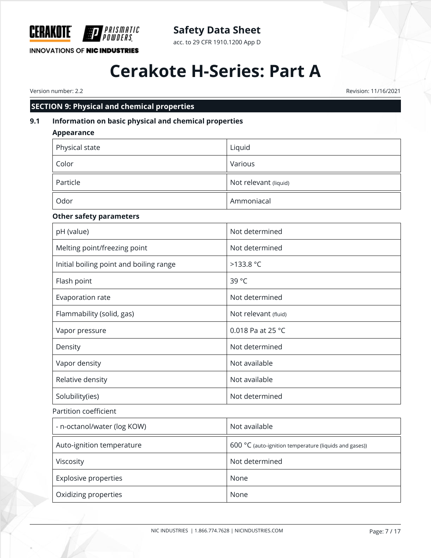

**Safety Data Sheet**

acc. to 29 CFR 1910.1200 App D

# **Cerakote H-Series: Part A**

Version number: 2.2 Revision: 11/16/2021

# **SECTION 9: Physical and chemical properties**

# **9.1 Information on basic physical and chemical properties**

| <b>Appearance</b>                       |                                                        |
|-----------------------------------------|--------------------------------------------------------|
| Physical state                          | Liquid                                                 |
| Color                                   | Various                                                |
| Particle                                | Not relevant (liquid)                                  |
| Odor                                    | Ammoniacal                                             |
| <b>Other safety parameters</b>          |                                                        |
| pH (value)                              | Not determined                                         |
| Melting point/freezing point            | Not determined                                         |
| Initial boiling point and boiling range | >133.8 °C                                              |
| Flash point                             | 39 °C                                                  |
| Evaporation rate                        | Not determined                                         |
| Flammability (solid, gas)               | Not relevant (fluid)                                   |
| Vapor pressure                          | 0.018 Pa at 25 °C                                      |
| Density                                 | Not determined                                         |
| Vapor density                           | Not available                                          |
| Relative density                        | Not available                                          |
| Solubility(ies)                         | Not determined                                         |
| Partition coefficient                   |                                                        |
| - n-octanol/water (log KOW)             | Not available                                          |
| Auto-ignition temperature               | 600 °C (auto-ignition temperature (liquids and gases)) |
| Viscosity                               | Not determined                                         |
| Explosive properties                    | None                                                   |
| Oxidizing properties                    | None                                                   |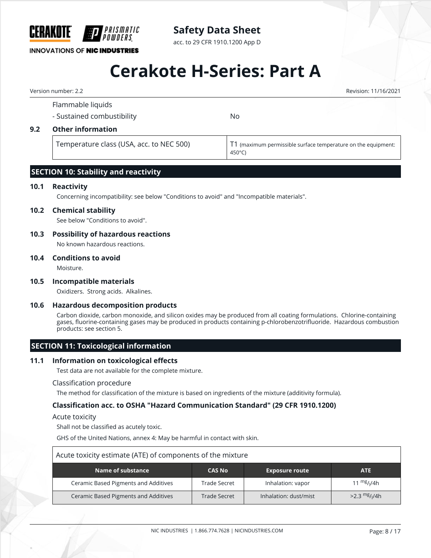

# **Safety Data Sheet**

acc. to 29 CFR 1910.1200 App D

# **Cerakote H-Series: Part A**

Version number: 2.2 Revision: 11/16/2021

# Flammable liquids - Sustained combustibility No **9.2 Other information** Temperature class (USA, acc. to NEC 500) T1 (maximum permissible surface temperature on the equipment: 450°C)

# **SECTION 10: Stability and reactivity**

*PRISMATIC* 

#### **10.1 Reactivity**

Concerning incompatibility: see below "Conditions to avoid" and "Incompatible materials".

#### **10.2 Chemical stability**

See below "Conditions to avoid".

#### **10.3 Possibility of hazardous reactions**

No known hazardous reactions.

#### **10.4 Conditions to avoid**

Moisture.

#### **10.5 Incompatible materials**

Oxidizers. Strong acids. Alkalines.

#### **10.6 Hazardous decomposition products**

Carbon dioxide, carbon monoxide, and silicon oxides may be produced from all coating formulations. Chlorine-containing gases, fluorine-containing gases may be produced in products containing p-chlorobenzotrifluoride. Hazardous combustion products: see section 5.

#### **SECTION 11: Toxicological information**

#### **11.1 Information on toxicological effects**

Test data are not available for the complete mixture.

#### Classification procedure

The method for classification of the mixture is based on ingredients of the mixture (additivity formula).

#### **Classification acc. to OSHA "Hazard Communication Standard" (29 CFR 1910.1200)**

#### Acute toxicity

Shall not be classified as acutely toxic.

GHS of the United Nations, annex 4: May be harmful in contact with skin.

| Acute toxicity estimate (ATE) of components of the mixture                                                   |              |                   |                        |  |  |  |  |
|--------------------------------------------------------------------------------------------------------------|--------------|-------------------|------------------------|--|--|--|--|
| Name of substance<br><b>Exposure route</b><br><b>ATE</b><br><b>CAS No</b>                                    |              |                   |                        |  |  |  |  |
| Ceramic Based Pigments and Additives                                                                         | Trade Secret | Inhalation: vapor | 11 $\frac{mg}{l}$ //4h |  |  |  |  |
| $>2.3$ mg/ <sub>I</sub> /4h<br>Ceramic Based Pigments and Additives<br>Inhalation: dust/mist<br>Trade Secret |              |                   |                        |  |  |  |  |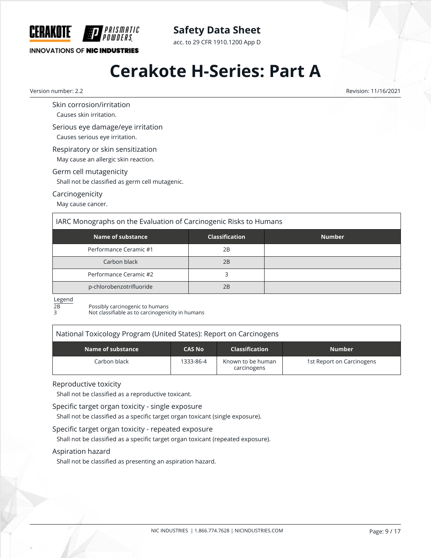

# **Safety Data Sheet**

acc. to 29 CFR 1910.1200 App D

# **Cerakote H-Series: Part A**

Version number: 2.2 Revision: 11/16/2021

Skin corrosion/irritation

Causes skin irritation.

Serious eye damage/eye irritation

Causes serious eye irritation.

Respiratory or skin sensitization May cause an allergic skin reaction.

### Germ cell mutagenicity

Shall not be classified as germ cell mutagenic.

### Carcinogenicity

May cause cancer.

# IARC Monographs on the Evaluation of Carcinogenic Risks to Humans

| Name of substance        | <b>Classification</b> | <b>Number</b> |
|--------------------------|-----------------------|---------------|
| Performance Ceramic #1   | 2B                    |               |
| Carbon black             | 2B                    |               |
| Performance Ceramic #2   |                       |               |
| p-chlorobenzotrifluoride | 2B                    |               |

Legend

 $\overline{2B}$  Possibly carcinogenic to humans<br>3 Not classifiable as to carcinogenic

Not classifiable as to carcinogenicity in humans

# National Toxicology Program (United States): Report on Carcinogens

| Name of substance | <b>CAS No</b> | <b>Classification</b>            | <b>Number</b>             |
|-------------------|---------------|----------------------------------|---------------------------|
| Carbon black l    | 1333-86-4     | Known to be human<br>carcinogens | 1st Report on Carcinogens |

#### Reproductive toxicity

Shall not be classified as a reproductive toxicant.

Specific target organ toxicity - single exposure

Shall not be classified as a specific target organ toxicant (single exposure).

Specific target organ toxicity - repeated exposure

Shall not be classified as a specific target organ toxicant (repeated exposure).

## Aspiration hazard

Shall not be classified as presenting an aspiration hazard.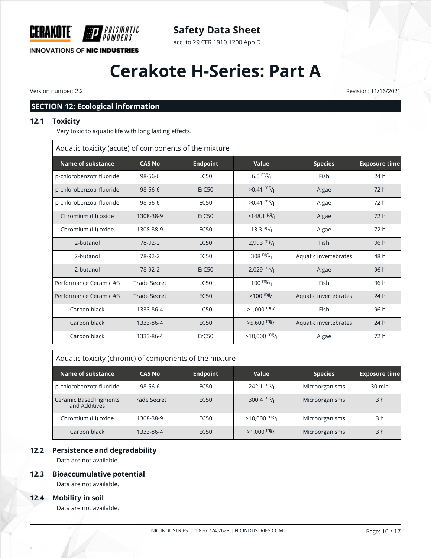

# **Safety Data Sheet**

acc. to 29 CFR 1910.1200 App D

# **Cerakote H-Series: Part A**

Version number: 2.2 Revision: 11/16/2021

# **SECTION 12: Ecological information**

### **12.1 Toxicity**

Very toxic to aquatic life with long lasting effects.

Aquatic toxicity (acute) of components of the mixture

| Name of substance        | <b>CAS No</b>       | <b>Endpoint</b>   | Value                                 | <b>Species</b>        | <b>Exposure time</b> |
|--------------------------|---------------------|-------------------|---------------------------------------|-----------------------|----------------------|
| p-chlorobenzotrifluoride | 98-56-6             | <b>LC50</b>       | $6.5 \frac{mg}{l}$                    | Fish                  | 24h                  |
| p-chlorobenzotrifluoride | $98 - 56 - 6$       | ErC <sub>50</sub> | $>0.41 \frac{mg}{l}$                  | Algae                 | 72 h                 |
| p-chlorobenzotrifluoride | 98-56-6             | <b>EC50</b>       | $>0.41 \frac{mg}{l}$                  | Algae                 | 72 h                 |
| Chromium (III) oxide     | 1308-38-9           | ErC <sub>50</sub> | $>148.1$ <sup>µg</sup> / <sub>1</sub> | Algae                 | 72h                  |
| Chromium (III) oxide     | 1308-38-9           | <b>EC50</b>       | 13.3 $\frac{\mu g}{\mu}$              | Algae                 | 72 h                 |
| 2-butanol                | 78-92-2             | <b>LC50</b>       | 2,993 $mg/$                           | Fish                  | 96h                  |
| 2-butanol                | 78-92-2             | <b>EC50</b>       | 308 $mg/1$                            | Aquatic invertebrates | 48 h                 |
| 2-butanol                | 78-92-2             | ErC50             | 2,029 $mg/$                           | Algae                 | 96 h                 |
| Performance Ceramic #3   | <b>Trade Secret</b> | <b>LC50</b>       | 100 $mg/1$                            | Fish                  | 96 h                 |
| Performance Ceramic #3   | <b>Trade Secret</b> | <b>EC50</b>       | $>100$ mg/                            | Aquatic invertebrates | 24h                  |
| Carbon black             | 1333-86-4           | <b>LC50</b>       | $>1,000$ mg/                          | Fish                  | 96 h                 |
| Carbon black             | 1333-86-4           | <b>EC50</b>       | $>5,600$ mg/                          | Aquatic invertebrates | 24h                  |
| Carbon black             | 1333-86-4           | ErC50             | $>10,000$ mg/                         | Algae                 | 72 h                 |

| Aquatic toxicity (chronic) of components of the mixture |               |                  |                      |                |                      |
|---------------------------------------------------------|---------------|------------------|----------------------|----------------|----------------------|
| Name of substance                                       | <b>CAS No</b> | <b>Endpoint</b>  | Value                | <b>Species</b> | <b>Exposure time</b> |
| p-chlorobenzotrifluoride                                | 98-56-6       | EC50             | $242.1 \text{ mg}$ / | Microorganisms | 30 min               |
| Ceramic Based Pigments<br>and Additives                 | Trade Secret  | EC <sub>50</sub> | 300.4 $mg/1$         | Microorganisms | 3 <sub>h</sub>       |
| Chromium (III) oxide                                    | 1308-38-9     | EC50             | $>10,000$ mg/        | Microorganisms | 3 h                  |
| Carbon black                                            | 1333-86-4     | <b>EC50</b>      | $>1,000$ mg/         | Microorganisms | 3 <sub>h</sub>       |

### **12.2 Persistence and degradability**

Data are not available.

#### **12.3 Bioaccumulative potential**

Data are not available.

#### **12.4 Mobility in soil**

Data are not available.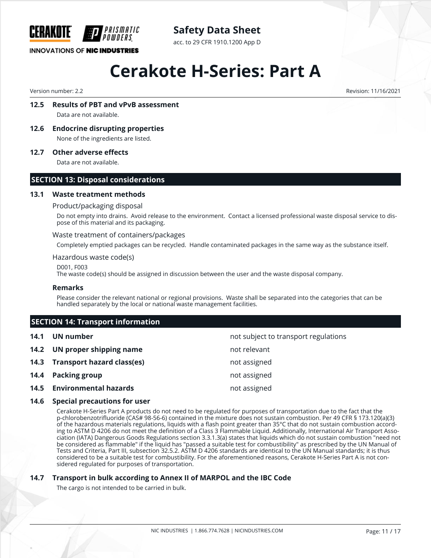

# **Safety Data Sheet**

acc. to 29 CFR 1910.1200 App D

# **Cerakote H-Series: Part A**

Version number: 2.2 Revision: 11/16/2021

## **12.5 Results of PBT and vPvB assessment**

Data are not available.

**12.6 Endocrine disrupting properties** None of the ingredients are listed.

**12.7 Other adverse effects**

Data are not available.

#### **SECTION 13: Disposal considerations**

#### **13.1 Waste treatment methods**

#### Product/packaging disposal

Do not empty into drains. Avoid release to the environment. Contact a licensed professional waste disposal service to dispose of this material and its packaging.

#### Waste treatment of containers/packages

Completely emptied packages can be recycled. Handle contaminated packages in the same way as the substance itself.

#### Hazardous waste code(s)

D001, F003

The waste code(s) should be assigned in discussion between the user and the waste disposal company.

#### **Remarks**

Please consider the relevant national or regional provisions. Waste shall be separated into the categories that can be handled separately by the local or national waste management facilities.

## **SECTION 14: Transport information**

| 14.1 | UN number                         | not subject to transport regulations |
|------|-----------------------------------|--------------------------------------|
|      | 14.2 UN proper shipping name      | not relevant                         |
|      | 14.3 Transport hazard class(es)   | not assigned                         |
|      | 14.4 Packing group                | not assigned                         |
|      | <b>14.5 Environmental hazards</b> | not assigned                         |

#### **14.6 Special precautions for user**

Cerakote H-Series Part A products do not need to be regulated for purposes of transportation due to the fact that the p-chlorobenzotrifluoride (CAS# 98-56-6) contained in the mixture does not sustain combustion. Per 49 CFR § 173.120(a)(3) of the hazardous materials regulations, liquids with a flash point greater than 35°C that do not sustain combustion according to ASTM D 4206 do not meet the definition of a Class 3 Flammable Liquid. Additionally, International Air Transport Association (IATA) Dangerous Goods Regulations section 3.3.1.3(a) states that liquids which do not sustain combustion "need not be considered as flammable" if the liquid has "passed a suitable test for combustibility" as prescribed by the UN Manual of Tests and Criteria, Part III, subsection 32.5.2. ASTM D 4206 standards are identical to the UN Manual standards; it is thus considered to be a suitable test for combustibility. For the aforementioned reasons, Cerakote H-Series Part A is not considered regulated for purposes of transportation.

#### **14.7 Transport in bulk according to Annex II of MARPOL and the IBC Code**

The cargo is not intended to be carried in bulk.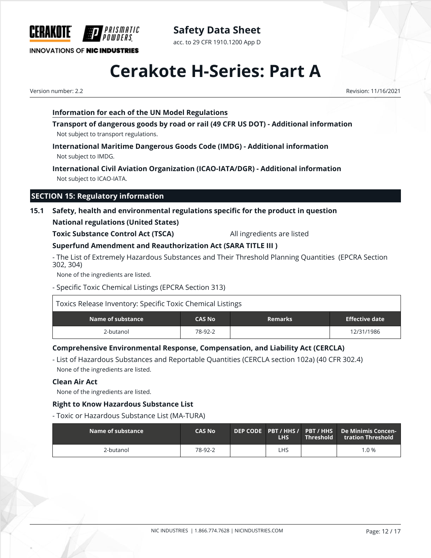

**Safety Data Sheet** acc. to 29 CFR 1910.1200 App D

# **Cerakote H-Series: Part A**

Version number: 2.2 Revision: 11/16/2021

## **Information for each of the UN Model Regulations**

**Transport of dangerous goods by road or rail (49 CFR US DOT) - Additional information** Not subject to transport regulations.

**International Maritime Dangerous Goods Code (IMDG) - Additional information** Not subject to IMDG.

**International Civil Aviation Organization (ICAO-IATA/DGR) - Additional information** Not subject to ICAO-IATA.

# **SECTION 15: Regulatory information**

# **15.1 Safety, health and environmental regulations specific for the product in question**

### **National regulations (United States)**

**Toxic Substance Control Act (TSCA)** All ingredients are listed

# **Superfund Amendment and Reauthorization Act (SARA TITLE III )**

- The List of Extremely Hazardous Substances and Their Threshold Planning Quantities (EPCRA Section 302, 304)

None of the ingredients are listed.

- Specific Toxic Chemical Listings (EPCRA Section 313)

| Toxics Release Inventory: Specific Toxic Chemical Listings |               |                |                |
|------------------------------------------------------------|---------------|----------------|----------------|
| Name of substance                                          | <b>CAS No</b> | <b>Remarks</b> | Effective date |
| 2-butanol                                                  | 78-92-2       |                | 12/31/1986     |

# **Comprehensive Environmental Response, Compensation, and Liability Act (CERCLA)**

- List of Hazardous Substances and Reportable Quantities (CERCLA section 102a) (40 CFR 302.4) None of the ingredients are listed.

#### **Clean Air Act**

None of the ingredients are listed.

## **Right to Know Hazardous Substance List**

- Toxic or Hazardous Substance List (MA-TURA)

| $\blacksquare$ Name of substance $\blacksquare$ | <b>CAS No</b> | <b>LHS</b> | $\blacksquare$ Threshold $\blacksquare$ | DEP CODE PBT / HHS / PBT / HHS De Minimis Concen-<br>tration Threshold |
|-------------------------------------------------|---------------|------------|-----------------------------------------|------------------------------------------------------------------------|
| 2-butanol                                       | 78-92-2       | LHS        |                                         | $1.0\%$                                                                |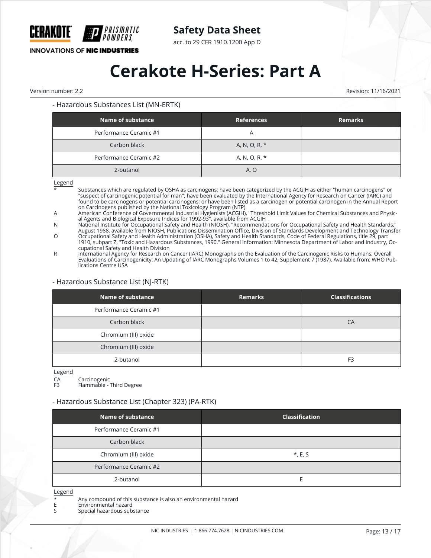

acc. to 29 CFR 1910.1200 App D

**INNOVATIONS OF NIC INDUSTRIES** 

# **Cerakote H-Series: Part A**

Version number: 2.2 Revision: 11/16/2021

#### - Hazardous Substances List (MN-ERTK)

*PRISMATIC<br>POWDFRS* 

| <b>Name of substance</b> | <b>References</b> | <b>Remarks</b> |
|--------------------------|-------------------|----------------|
| Performance Ceramic #1   | Α                 |                |
| Carbon black             | A, N, O, R, *     |                |
| Performance Ceramic #2   | A, N, O, R, *     |                |
| 2-butanol                | A, O              |                |

Legend

\* Substances which are regulated by OSHA as carcinogens; have been categorized by the ACGIH as either "human carcinogens" or "suspect of carcinogenic potential for man"; have been evaluated by the International Agency for Research on Cancer (IARC) and found to be carcinogens or potential carcinogens; or have been listed as a carcinogen or potential carcinogen in the Annual Report on Carcinogens published by the National Toxicology Program (NTP).

A American Conference of Governmental Industrial Hygienists (ACGIH), "Threshold Limit Values for Chemical Substances and Physical Agents and Biological Exposure Indices for 1992-93", available from ACGIH

N National Institute for Occupational Safety and Health (NIOSH), "Recommendations for Occupational Safety and Health Standards," August 1988, available from NIOSH, Publications Dissemination Office, Division of Standards Development and Technology Transfer

O Occupational Safety and Health Administration (OSHA), Safety and Health Standards, Code of Federal Regulations, title 29, part 1910, subpart Z, "Toxic and Hazardous Substances, 1990." General information: Minnesota Department of Labor and Industry, Occupational Safety and Health Division

R International Agency for Research on Cancer (IARC) Monographs on the Evaluation of the Carcinogenic Risks to Humans; Overall Evaluations of Carcinogenicity: An Updating of IARC Monographs Volumes 1 to 42, Supplement 7 (1987). Available from: WHO Publications Centre USA

#### - Hazardous Substance List (NJ-RTK)

| <b>Name of substance</b> | <b>Remarks</b> | <b>Classifications</b> |
|--------------------------|----------------|------------------------|
| Performance Ceramic #1   |                |                        |
| Carbon black             |                | CA                     |
| Chromium (III) oxide     |                |                        |
| Chromium (III) oxide     |                |                        |
| 2-butanol                |                | F <sub>3</sub>         |

Legend

CA Carcinogenic

Flammable - Third Degree

#### - Hazardous Substance List (Chapter 323) (PA-RTK)

| Name of substance      | <b>Classification</b> |
|------------------------|-----------------------|
| Performance Ceramic #1 |                       |
| Carbon black           |                       |
| Chromium (III) oxide   | $*, E, S$             |
| Performance Ceramic #2 |                       |
| 2-butanol              |                       |

Legend

\* Any compound of this substance is also an environmental hazard

E Environmental hazard<br>Special hazardous sub

Special hazardous substance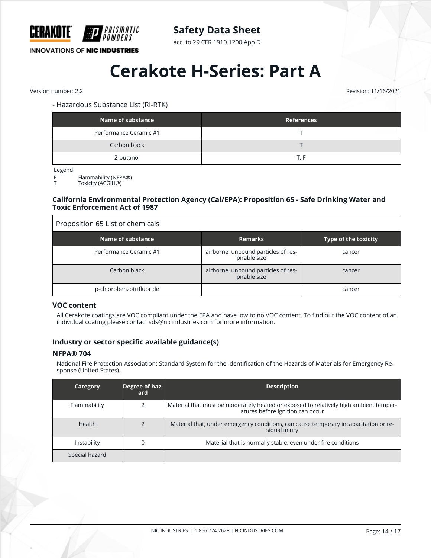

acc. to 29 CFR 1910.1200 App D

# **INNOVATIONS OF NIC INDUSTRIES**

# **Cerakote H-Series: Part A**

Version number: 2.2 Revision: 11/16/2021

#### - Hazardous Substance List (RI-RTK)

| <b>Name of substance</b> | <b>References</b> |
|--------------------------|-------------------|
| Performance Ceramic #1   |                   |
| Carbon black             |                   |
| 2-butanol                | T. F              |

Legend

 $F$  Flammability (NFPA®)

Toxicity (ACGIH®)

#### **California Environmental Protection Agency (Cal/EPA): Proposition 65 - Safe Drinking Water and Toxic Enforcement Act of 1987**

| Proposition 65 List of chemicals |                                                     |                             |
|----------------------------------|-----------------------------------------------------|-----------------------------|
| Name of substance                | <b>Remarks</b>                                      | <b>Type of the toxicity</b> |
| Performance Ceramic #1           | airborne, unbound particles of res-<br>pirable size | cancer                      |
| Carbon black                     | airborne, unbound particles of res-<br>pirable size | cancer                      |
| p-chlorobenzotrifluoride         |                                                     | cancer                      |

#### **VOC content**

All Cerakote coatings are VOC compliant under the EPA and have low to no VOC content. To find out the VOC content of an individual coating please contact sds@nicindustries.com for more information.

#### **Industry or sector specific available guidance(s)**

#### **NFPA® 704**

National Fire Protection Association: Standard System for the Identification of the Hazards of Materials for Emergency Response (United States).

| <b>Category</b> | Degree of haz-<br>ard | <b>Description</b>                                                                                                        |
|-----------------|-----------------------|---------------------------------------------------------------------------------------------------------------------------|
| Flammability    |                       | Material that must be moderately heated or exposed to relatively high ambient temper-<br>atures before ignition can occur |
| <b>Health</b>   |                       | Material that, under emergency conditions, can cause temporary incapacitation or re-<br>sidual injury                     |
| Instability     |                       | Material that is normally stable, even under fire conditions                                                              |
| Special hazard  |                       |                                                                                                                           |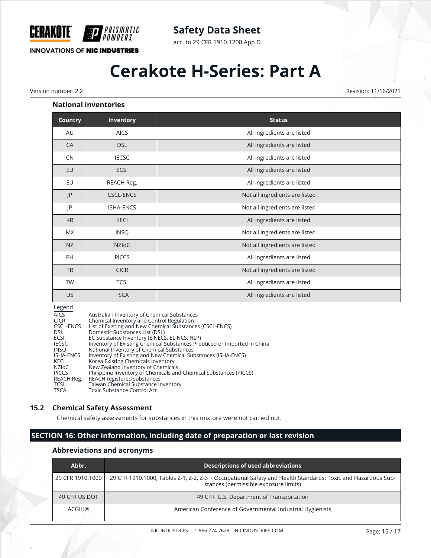

acc. to 29 CFR 1910.1200 App D

# **INNOVATIONS OF NIC INDUSTRIES**

PRISMATIC OWDERS

# **Cerakote H-Series: Part A**

Version number: 2.2 Revision: 11/16/2021

#### **National inventories**

| <b>Country</b> | Inventory        | <b>Status</b>                  |
|----------------|------------------|--------------------------------|
| AU             | <b>AICS</b>      | All ingredients are listed     |
| CA             | <b>DSL</b>       | All ingredients are listed     |
| CN             | <b>IECSC</b>     | All ingredients are listed     |
| EU             | ECSI             | All ingredients are listed     |
| EU             | REACH Reg.       | All ingredients are listed     |
| P              | <b>CSCL-ENCS</b> | Not all ingredients are listed |
| JP             | ISHA-ENCS        | Not all ingredients are listed |
| <b>KR</b>      | <b>KECI</b>      | All ingredients are listed     |
| MX             | <b>INSQ</b>      | Not all ingredients are listed |
| NZ             | <b>NZIOC</b>     | Not all ingredients are listed |
| PH             | <b>PICCS</b>     | All ingredients are listed     |
| <b>TR</b>      | <b>CICR</b>      | Not all ingredients are listed |
| <b>TW</b>      | <b>TCSI</b>      | All ingredients are listed     |
| US             | <b>TSCA</b>      | All ingredients are listed     |

#### Legend

| <b>AICS</b>      | Australian Inventory of Chemical Substances                             |
|------------------|-------------------------------------------------------------------------|
| <b>CICR</b>      | Chemical Inventory and Control Regulation                               |
| CSCL-ENCS        | List of Existing and New Chemical Substances (CSCL-ENCS)                |
| DSL              | Domestic Substances List (DSL)                                          |
| ECSI             | EC Substance Inventory (EINECS, ELINCS, NLP)                            |
| <b>IECSC</b>     | Inventory of Existing Chemical Substances Produced or Imported in China |
| <b>INSO</b>      | National Inventory of Chemical Substances                               |
| <b>ISHA-ENCS</b> | Inventory of Existing and New Chemical Substances (ISHA-ENCS)           |
| KECI             | Korea Existing Chemicals Inventory                                      |
| NZIoC            | New Zealand Inventory of Chemicals                                      |
| <b>PICCS</b>     | Philippine Inventory of Chemicals and Chemical Substances (PICCS)       |
| REACH Reg.       | REACH registered substances                                             |
| <b>TCSI</b>      | Taiwan Chemical Substance Inventory                                     |
| <b>TSCA</b>      | Toxic Substance Control Act                                             |

#### **15.2 Chemical Safety Assessment**

Chemical safety assessments for substances in this mixture were not carried out.

# **SECTION 16: Other information, including date of preparation or last revision**

#### **Abbreviations and acronyms**

| Abbr.            | <b>Descriptions of used abbreviations</b>                                                                                                            |
|------------------|------------------------------------------------------------------------------------------------------------------------------------------------------|
| 29 CFR 1910.1000 | 29 CFR 1910.1000, Tables Z-1, Z-2, Z-3 - Occupational Safety and Health Standards: Toxic and Hazardous Sub-<br>stances (permissible exposure limits) |
| 49 CFR US DOT    | 49 CFR U.S. Department of Transportation                                                                                                             |
| ACGIH®           | American Conference of Governmental Industrial Hygienists                                                                                            |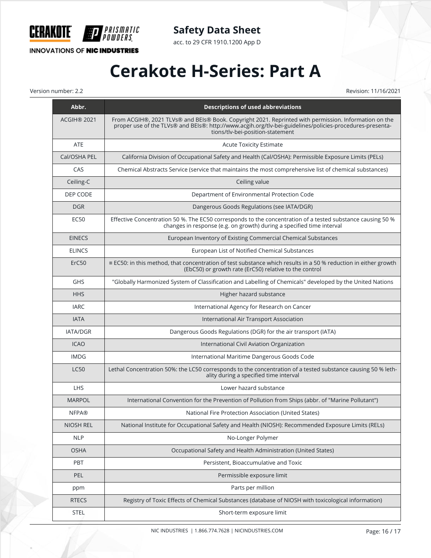

*PRISMATIC<br>Powders* 

**INNOVATIONS OF NIC INDUSTRIES** 

**Safety Data Sheet**

acc. to 29 CFR 1910.1200 App D

# **Cerakote H-Series: Part A**

Version number: 2.2 Revision: 11/16/2021

| Abbr.            | <b>Descriptions of used abbreviations</b>                                                                                                                                                                                                             |
|------------------|-------------------------------------------------------------------------------------------------------------------------------------------------------------------------------------------------------------------------------------------------------|
| ACGIH® 2021      | From ACGIH®, 2021 TLVs® and BEIs® Book. Copyright 2021. Reprinted with permission. Information on the<br>proper use of the TLVs® and BEIs®: http://www.acgih.org/tlv-bei-guidelines/policies-procedures-presenta-<br>tions/tlv-bei-position-statement |
| <b>ATE</b>       | <b>Acute Toxicity Estimate</b>                                                                                                                                                                                                                        |
| Cal/OSHA PEL     | California Division of Occupational Safety and Health (Cal/OSHA): Permissible Exposure Limits (PELs)                                                                                                                                                  |
| CAS              | Chemical Abstracts Service (service that maintains the most comprehensive list of chemical substances)                                                                                                                                                |
| Ceiling-C        | Ceiling value                                                                                                                                                                                                                                         |
| DEP CODE         | Department of Environmental Protection Code                                                                                                                                                                                                           |
| <b>DGR</b>       | Dangerous Goods Regulations (see IATA/DGR)                                                                                                                                                                                                            |
| EC50             | Effective Concentration 50 %. The EC50 corresponds to the concentration of a tested substance causing 50 %<br>changes in response (e.g. on growth) during a specified time interval                                                                   |
| <b>EINECS</b>    | European Inventory of Existing Commercial Chemical Substances                                                                                                                                                                                         |
| <b>ELINCS</b>    | European List of Notified Chemical Substances                                                                                                                                                                                                         |
| ErC50            | $\equiv$ EC50: in this method, that concentration of test substance which results in a 50 % reduction in either growth<br>(EbC50) or growth rate (ErC50) relative to the control                                                                      |
| <b>GHS</b>       | "Globally Harmonized System of Classification and Labelling of Chemicals" developed by the United Nations                                                                                                                                             |
| <b>HHS</b>       | Higher hazard substance                                                                                                                                                                                                                               |
| <b>IARC</b>      | International Agency for Research on Cancer                                                                                                                                                                                                           |
| <b>IATA</b>      | International Air Transport Association                                                                                                                                                                                                               |
| <b>IATA/DGR</b>  | Dangerous Goods Regulations (DGR) for the air transport (IATA)                                                                                                                                                                                        |
| <b>ICAO</b>      | International Civil Aviation Organization                                                                                                                                                                                                             |
| <b>IMDG</b>      | International Maritime Dangerous Goods Code                                                                                                                                                                                                           |
| <b>LC50</b>      | Lethal Concentration 50%: the LC50 corresponds to the concentration of a tested substance causing 50 % leth-<br>ality during a specified time interval                                                                                                |
| LHS              | Lower hazard substance                                                                                                                                                                                                                                |
| <b>MARPOL</b>    | International Convention for the Prevention of Pollution from Ships (abbr. of "Marine Pollutant")                                                                                                                                                     |
| <b>NFPA®</b>     | National Fire Protection Association (United States)                                                                                                                                                                                                  |
| <b>NIOSH REL</b> | National Institute for Occupational Safety and Health (NIOSH): Recommended Exposure Limits (RELs)                                                                                                                                                     |
| <b>NLP</b>       | No-Longer Polymer                                                                                                                                                                                                                                     |
| <b>OSHA</b>      | Occupational Safety and Health Administration (United States)                                                                                                                                                                                         |
| PBT              | Persistent, Bioaccumulative and Toxic                                                                                                                                                                                                                 |
| PEL              | Permissible exposure limit                                                                                                                                                                                                                            |
| ppm              | Parts per million                                                                                                                                                                                                                                     |
| <b>RTECS</b>     | Registry of Toxic Effects of Chemical Substances (database of NIOSH with toxicological information)                                                                                                                                                   |
| STEL             | Short-term exposure limit                                                                                                                                                                                                                             |